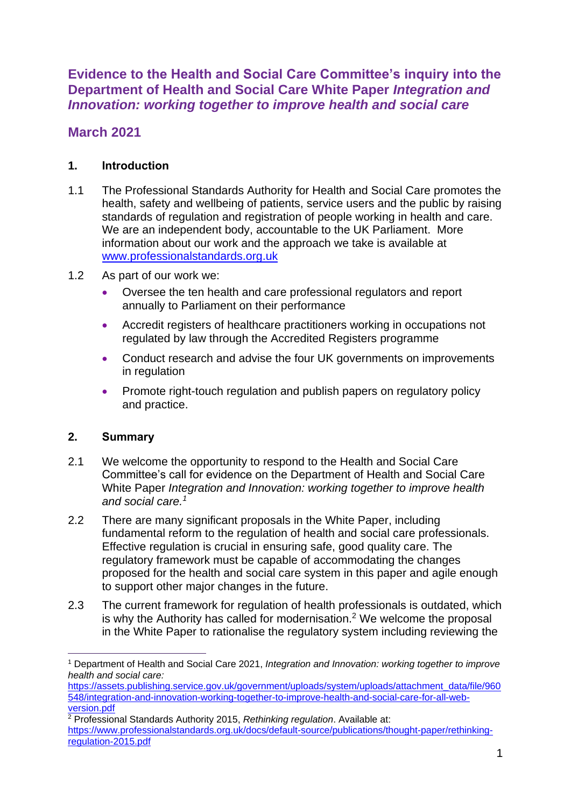**Evidence to the Health and Social Care Committee's inquiry into the Department of Health and Social Care White Paper** *Integration and Innovation: working together to improve health and social care*

# **March 2021**

### **1. Introduction**

- 1.1 The Professional Standards Authority for Health and Social Care promotes the health, safety and wellbeing of patients, service users and the public by raising standards of regulation and registration of people working in health and care. We are an independent body, accountable to the UK Parliament. More information about our work and the approach we take is available at [www.professionalstandards.org.uk](http://www.professionalstandards.org.uk/)
- 1.2 As part of our work we:
	- Oversee the ten health and care professional regulators and report annually to Parliament on their performance
	- Accredit registers of healthcare practitioners working in occupations not regulated by law through the Accredited Registers programme
	- Conduct research and advise the four UK governments on improvements in regulation
	- Promote right-touch regulation and publish papers on regulatory policy and practice.

### **2. Summary**

- 2.1 We welcome the opportunity to respond to the Health and Social Care Committee's call for evidence on the Department of Health and Social Care White Paper *Integration and Innovation: working together to improve health and social care. 1*
- 2.2 There are many significant proposals in the White Paper, including fundamental reform to the regulation of health and social care professionals. Effective regulation is crucial in ensuring safe, good quality care. The regulatory framework must be capable of accommodating the changes proposed for the health and social care system in this paper and agile enough to support other major changes in the future.
- 2.3 The current framework for regulation of health professionals is outdated, which is why the Authority has called for modernisation.<sup>2</sup> We welcome the proposal in the White Paper to rationalise the regulatory system including reviewing the

<sup>1</sup> Department of Health and Social Care 2021, *Integration and Innovation: working together to improve health and social care:*

[https://assets.publishing.service.gov.uk/government/uploads/system/uploads/attachment\\_data/file/960](https://assets.publishing.service.gov.uk/government/uploads/system/uploads/attachment_data/file/960548/integration-and-innovation-working-together-to-improve-health-and-social-care-for-all-web-version.pdf) [548/integration-and-innovation-working-together-to-improve-health-and-social-care-for-all-web](https://assets.publishing.service.gov.uk/government/uploads/system/uploads/attachment_data/file/960548/integration-and-innovation-working-together-to-improve-health-and-social-care-for-all-web-version.pdf)[version.pdf](https://assets.publishing.service.gov.uk/government/uploads/system/uploads/attachment_data/file/960548/integration-and-innovation-working-together-to-improve-health-and-social-care-for-all-web-version.pdf)

<sup>2</sup> Professional Standards Authority 2015, *Rethinking regulation*. Available at: [https://www.professionalstandards.org.uk/docs/default-source/publications/thought-paper/rethinking](https://www.professionalstandards.org.uk/docs/default-source/publications/thought-paper/rethinking-regulation-2015.pdf)[regulation-2015.pdf](https://www.professionalstandards.org.uk/docs/default-source/publications/thought-paper/rethinking-regulation-2015.pdf)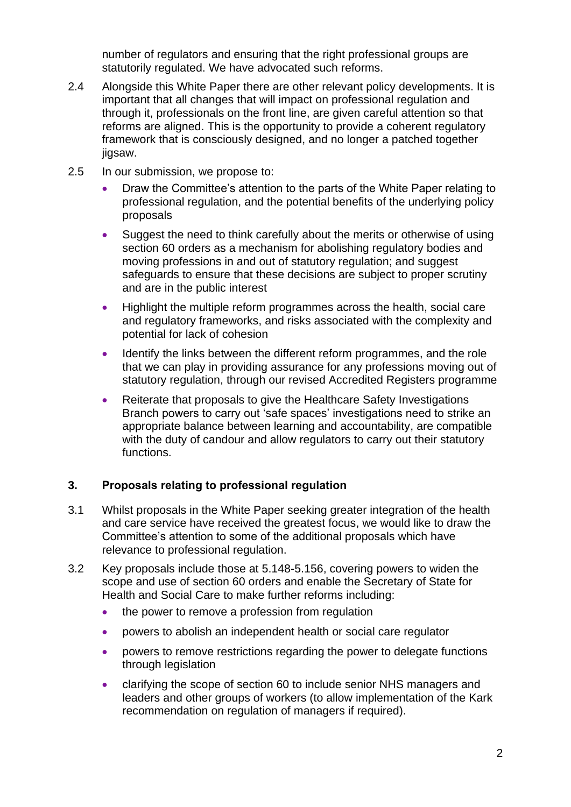number of regulators and ensuring that the right professional groups are statutorily regulated. We have advocated such reforms.

- 2.4 Alongside this White Paper there are other relevant policy developments. It is important that all changes that will impact on professional regulation and through it, professionals on the front line, are given careful attention so that reforms are aligned. This is the opportunity to provide a coherent regulatory framework that is consciously designed, and no longer a patched together jigsaw.
- 2.5 In our submission, we propose to:
	- Draw the Committee's attention to the parts of the White Paper relating to professional regulation, and the potential benefits of the underlying policy proposals
	- Suggest the need to think carefully about the merits or otherwise of using section 60 orders as a mechanism for abolishing regulatory bodies and moving professions in and out of statutory regulation; and suggest safeguards to ensure that these decisions are subject to proper scrutiny and are in the public interest
	- Highlight the multiple reform programmes across the health, social care and regulatory frameworks, and risks associated with the complexity and potential for lack of cohesion
	- Identify the links between the different reform programmes, and the role that we can play in providing assurance for any professions moving out of statutory regulation, through our revised Accredited Registers programme
	- Reiterate that proposals to give the Healthcare Safety Investigations Branch powers to carry out 'safe spaces' investigations need to strike an appropriate balance between learning and accountability, are compatible with the duty of candour and allow regulators to carry out their statutory functions.

## **3. Proposals relating to professional regulation**

- 3.1 Whilst proposals in the White Paper seeking greater integration of the health and care service have received the greatest focus, we would like to draw the Committee's attention to some of the additional proposals which have relevance to professional regulation.
- 3.2 Key proposals include those at 5.148-5.156, covering powers to widen the scope and use of section 60 orders and enable the Secretary of State for Health and Social Care to make further reforms including:
	- the power to remove a profession from regulation
	- powers to abolish an independent health or social care regulator
	- powers to remove restrictions regarding the power to delegate functions through legislation
	- clarifying the scope of section 60 to include senior NHS managers and leaders and other groups of workers (to allow implementation of the Kark recommendation on regulation of managers if required).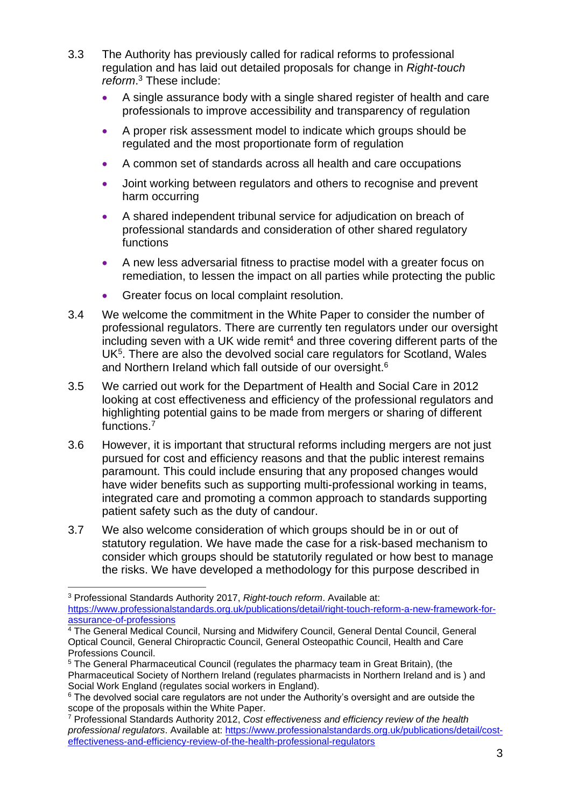- 3.3 The Authority has previously called for radical reforms to professional regulation and has laid out detailed proposals for change in *Right-touch reform*. <sup>3</sup> These include:
	- A single assurance body with a single shared register of health and care professionals to improve accessibility and transparency of regulation
	- A proper risk assessment model to indicate which groups should be regulated and the most proportionate form of regulation
	- A common set of standards across all health and care occupations
	- Joint working between regulators and others to recognise and prevent harm occurring
	- A shared independent tribunal service for adjudication on breach of professional standards and consideration of other shared regulatory functions
	- A new less adversarial fitness to practise model with a greater focus on remediation, to lessen the impact on all parties while protecting the public
	- Greater focus on local complaint resolution.
- 3.4 We welcome the commitment in the White Paper to consider the number of professional regulators. There are currently ten regulators under our oversight  $includ$  seven with a UK wide remit<sup>4</sup> and three covering different parts of the UK<sup>5</sup>. There are also the devolved social care regulators for Scotland, Wales and Northern Ireland which fall outside of our oversight.<sup>6</sup>
- 3.5 We carried out work for the Department of Health and Social Care in 2012 looking at cost effectiveness and efficiency of the professional regulators and highlighting potential gains to be made from mergers or sharing of different functions.<sup>7</sup>
- 3.6 However, it is important that structural reforms including mergers are not just pursued for cost and efficiency reasons and that the public interest remains paramount. This could include ensuring that any proposed changes would have wider benefits such as supporting multi-professional working in teams, integrated care and promoting a common approach to standards supporting patient safety such as the duty of candour.
- 3.7 We also welcome consideration of which groups should be in or out of statutory regulation. We have made the case for a risk-based mechanism to consider which groups should be statutorily regulated or how best to manage the risks. We have developed a methodology for this purpose described in

<sup>3</sup> Professional Standards Authority 2017, *Right-touch reform*. Available at: [https://www.professionalstandards.org.uk/publications/detail/right-touch-reform-a-new-framework-for](https://www.professionalstandards.org.uk/publications/detail/right-touch-reform-a-new-framework-for-assurance-of-professions)[assurance-of-professions](https://www.professionalstandards.org.uk/publications/detail/right-touch-reform-a-new-framework-for-assurance-of-professions) 

<sup>&</sup>lt;sup>4</sup> The General Medical Council, Nursing and Midwifery Council, General Dental Council, General Optical Council, General Chiropractic Council, General Osteopathic Council, Health and Care Professions Council.

<sup>5</sup> The General Pharmaceutical Council (regulates the pharmacy team in Great Britain), (the Pharmaceutical Society of Northern Ireland (regulates pharmacists in Northern Ireland and is ) and Social Work England (regulates social workers in England).

<sup>&</sup>lt;sup>6</sup> The devolved social care regulators are not under the Authority's oversight and are outside the scope of the proposals within the White Paper.

<sup>7</sup> Professional Standards Authority 2012, *Cost effectiveness and efficiency review of the health professional regulators*. Available at: [https://www.professionalstandards.org.uk/publications/detail/cost](https://www.professionalstandards.org.uk/publications/detail/cost-effectiveness-and-efficiency-review-of-the-health-professional-regulators)[effectiveness-and-efficiency-review-of-the-health-professional-regulators](https://www.professionalstandards.org.uk/publications/detail/cost-effectiveness-and-efficiency-review-of-the-health-professional-regulators)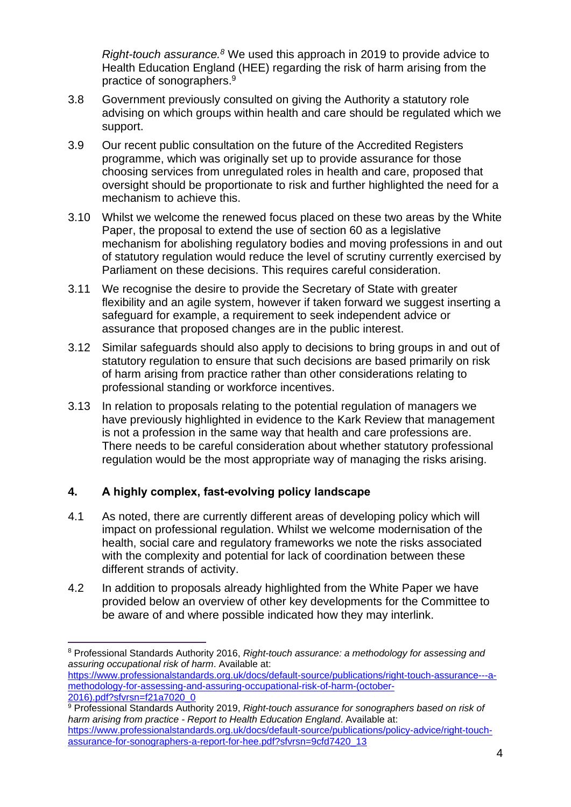*Right-touch assurance. <sup>8</sup>* We used this approach in 2019 to provide advice to Health Education England (HEE) regarding the risk of harm arising from the practice of sonographers.<sup>9</sup>

- 3.8 Government previously consulted on giving the Authority a statutory role advising on which groups within health and care should be regulated which we support.
- 3.9 Our recent public consultation on the future of the Accredited Registers programme, which was originally set up to provide assurance for those choosing services from unregulated roles in health and care, proposed that oversight should be proportionate to risk and further highlighted the need for a mechanism to achieve this.
- 3.10 Whilst we welcome the renewed focus placed on these two areas by the White Paper, the proposal to extend the use of section 60 as a legislative mechanism for abolishing regulatory bodies and moving professions in and out of statutory regulation would reduce the level of scrutiny currently exercised by Parliament on these decisions. This requires careful consideration.
- 3.11 We recognise the desire to provide the Secretary of State with greater flexibility and an agile system, however if taken forward we suggest inserting a safeguard for example, a requirement to seek independent advice or assurance that proposed changes are in the public interest.
- 3.12 Similar safeguards should also apply to decisions to bring groups in and out of statutory regulation to ensure that such decisions are based primarily on risk of harm arising from practice rather than other considerations relating to professional standing or workforce incentives.
- 3.13 In relation to proposals relating to the potential regulation of managers we have previously highlighted in evidence to the Kark Review that management is not a profession in the same way that health and care professions are. There needs to be careful consideration about whether statutory professional regulation would be the most appropriate way of managing the risks arising.

## **4. A highly complex, fast-evolving policy landscape**

- 4.1 As noted, there are currently different areas of developing policy which will impact on professional regulation. Whilst we welcome modernisation of the health, social care and regulatory frameworks we note the risks associated with the complexity and potential for lack of coordination between these different strands of activity.
- 4.2 In addition to proposals already highlighted from the White Paper we have provided below an overview of other key developments for the Committee to be aware of and where possible indicated how they may interlink.

<sup>8</sup> Professional Standards Authority 2016, *Right-touch assurance: a methodology for assessing and assuring occupational risk of harm*. Available at: [https://www.professionalstandards.org.uk/docs/default-source/publications/right-touch-assurance---a](https://www.professionalstandards.org.uk/docs/default-source/publications/right-touch-assurance---a-methodology-for-assessing-and-assuring-occupational-risk-of-harm-(october-2016).pdf?sfvrsn=f21a7020_0)[methodology-for-assessing-and-assuring-occupational-risk-of-harm-\(october-](https://www.professionalstandards.org.uk/docs/default-source/publications/right-touch-assurance---a-methodology-for-assessing-and-assuring-occupational-risk-of-harm-(october-2016).pdf?sfvrsn=f21a7020_0)[2016\).pdf?sfvrsn=f21a7020\\_0](https://www.professionalstandards.org.uk/docs/default-source/publications/right-touch-assurance---a-methodology-for-assessing-and-assuring-occupational-risk-of-harm-(october-2016).pdf?sfvrsn=f21a7020_0)

<sup>9</sup> Professional Standards Authority 2019, *Right-touch assurance for sonographers based on risk of harm arising from practice - Report to Health Education England*. Available at: [https://www.professionalstandards.org.uk/docs/default-source/publications/policy-advice/right-touch](https://www.professionalstandards.org.uk/docs/default-source/publications/policy-advice/right-touch-assurance-for-sonographers-a-report-for-hee.pdf?sfvrsn=9cfd7420_13)[assurance-for-sonographers-a-report-for-hee.pdf?sfvrsn=9cfd7420\\_13](https://www.professionalstandards.org.uk/docs/default-source/publications/policy-advice/right-touch-assurance-for-sonographers-a-report-for-hee.pdf?sfvrsn=9cfd7420_13)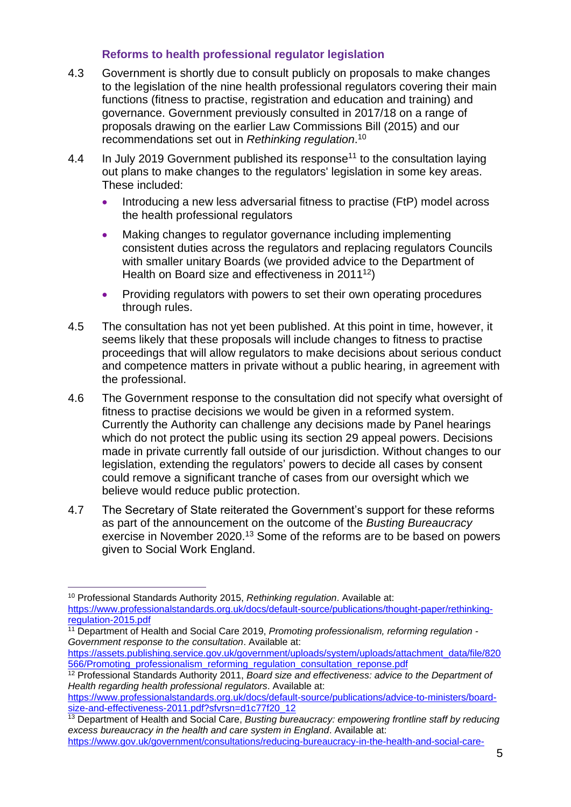### **Reforms to health professional regulator legislation**

- 4.3 Government is shortly due to consult publicly on proposals to make changes to the legislation of the nine health professional regulators covering their main functions (fitness to practise, registration and education and training) and governance. Government previously consulted in 2017/18 on a range of proposals drawing on the earlier Law Commissions Bill (2015) and our recommendations set out in *Rethinking regulation*. 10
- 4.4 In July 2019 Government published its response<sup>11</sup> to the consultation laying out plans to make changes to the regulators' legislation in some key areas. These included:
	- Introducing a new less adversarial fitness to practise (FtP) model across the health professional regulators
	- Making changes to regulator governance including implementing consistent duties across the regulators and replacing regulators Councils with smaller unitary Boards (we provided advice to the Department of Health on Board size and effectiveness in 2011<sup>12</sup>)
	- Providing regulators with powers to set their own operating procedures through rules.
- 4.5 The consultation has not yet been published. At this point in time, however, it seems likely that these proposals will include changes to fitness to practise proceedings that will allow regulators to make decisions about serious conduct and competence matters in private without a public hearing, in agreement with the professional.
- 4.6 The Government response to the consultation did not specify what oversight of fitness to practise decisions we would be given in a reformed system. Currently the Authority can challenge any decisions made by Panel hearings which do not protect the public using its section 29 appeal powers. Decisions made in private currently fall outside of our jurisdiction. Without changes to our legislation, extending the regulators' powers to decide all cases by consent could remove a significant tranche of cases from our oversight which we believe would reduce public protection.
- 4.7 The Secretary of State reiterated the Government's support for these reforms as part of the announcement on the outcome of the *Busting Bureaucracy* exercise in November 2020.<sup>13</sup> Some of the reforms are to be based on powers given to Social Work England.

[https://www.professionalstandards.org.uk/docs/default-source/publications/advice-to-ministers/board](https://www.professionalstandards.org.uk/docs/default-source/publications/advice-to-ministers/board-size-and-effectiveness-2011.pdf?sfvrsn=d1c77f20_12)[size-and-effectiveness-2011.pdf?sfvrsn=d1c77f20\\_12](https://www.professionalstandards.org.uk/docs/default-source/publications/advice-to-ministers/board-size-and-effectiveness-2011.pdf?sfvrsn=d1c77f20_12)

[https://www.gov.uk/government/consultations/reducing-bureaucracy-in-the-health-and-social-care-](https://www.gov.uk/government/consultations/reducing-bureaucracy-in-the-health-and-social-care-system-call-for-evidence/outcome/busting-bureaucracy-empowering-frontline-staff-by-reducing-excess-bureaucracy-in-the-health-and-care-system-in-england)

<sup>10</sup> Professional Standards Authority 2015, *Rethinking regulation*. Available at: [https://www.professionalstandards.org.uk/docs/default-source/publications/thought-paper/rethinking](https://www.professionalstandards.org.uk/docs/default-source/publications/thought-paper/rethinking-regulation-2015.pdf)[regulation-2015.pdf](https://www.professionalstandards.org.uk/docs/default-source/publications/thought-paper/rethinking-regulation-2015.pdf)

<sup>11</sup> Department of Health and Social Care 2019, *Promoting professionalism, reforming regulation - Government response to the consultation*. Available at:

[https://assets.publishing.service.gov.uk/government/uploads/system/uploads/attachment\\_data/file/820](https://assets.publishing.service.gov.uk/government/uploads/system/uploads/attachment_data/file/820566/Promoting_professionalism_reforming_regulation_consultation_reponse.pdf) [566/Promoting\\_professionalism\\_reforming\\_regulation\\_consultation\\_reponse.pdf](https://assets.publishing.service.gov.uk/government/uploads/system/uploads/attachment_data/file/820566/Promoting_professionalism_reforming_regulation_consultation_reponse.pdf)

<sup>12</sup> Professional Standards Authority 2011, *Board size and effectiveness: advice to the Department of Health regarding health professional regulators*. Available at:

<sup>13</sup> Department of Health and Social Care, *Busting bureaucracy: empowering frontline staff by reducing excess bureaucracy in the health and care system in England*. Available at: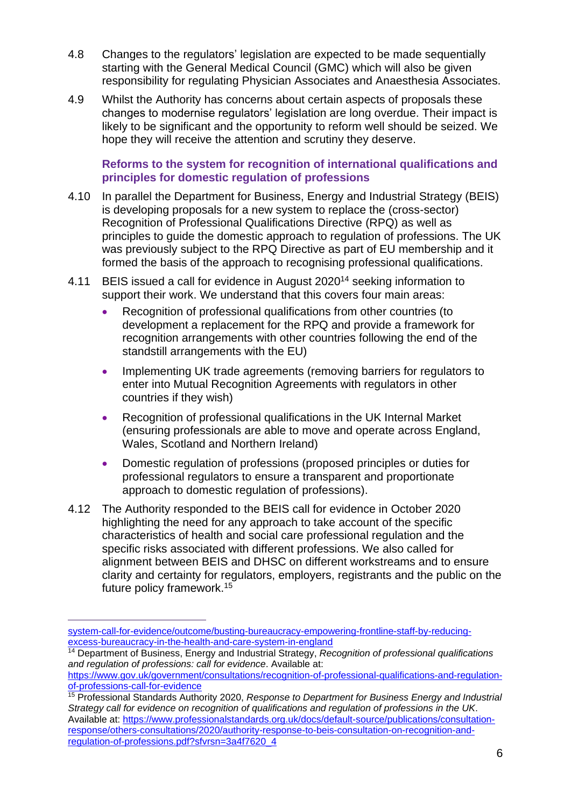- 4.8 Changes to the regulators' legislation are expected to be made sequentially starting with the General Medical Council (GMC) which will also be given responsibility for regulating Physician Associates and Anaesthesia Associates.
- 4.9 Whilst the Authority has concerns about certain aspects of proposals these changes to modernise regulators' legislation are long overdue. Their impact is likely to be significant and the opportunity to reform well should be seized. We hope they will receive the attention and scrutiny they deserve.

### **Reforms to the system for recognition of international qualifications and principles for domestic regulation of professions**

- 4.10 In parallel the Department for Business, Energy and Industrial Strategy (BEIS) is developing proposals for a new system to replace the (cross-sector) Recognition of Professional Qualifications Directive (RPQ) as well as principles to guide the domestic approach to regulation of professions. The UK was previously subject to the RPQ Directive as part of EU membership and it formed the basis of the approach to recognising professional qualifications.
- 4.11 BEIS issued a call for evidence in August 2020<sup>14</sup> seeking information to support their work. We understand that this covers four main areas:
	- Recognition of professional qualifications from other countries (to development a replacement for the RPQ and provide a framework for recognition arrangements with other countries following the end of the standstill arrangements with the EU)
	- Implementing UK trade agreements (removing barriers for regulators to enter into Mutual Recognition Agreements with regulators in other countries if they wish)
	- Recognition of professional qualifications in the UK Internal Market (ensuring professionals are able to move and operate across England, Wales, Scotland and Northern Ireland)
	- Domestic regulation of professions (proposed principles or duties for professional regulators to ensure a transparent and proportionate approach to domestic regulation of professions).
- 4.12 The Authority responded to the BEIS call for evidence in October 2020 highlighting the need for any approach to take account of the specific characteristics of health and social care professional regulation and the specific risks associated with different professions. We also called for alignment between BEIS and DHSC on different workstreams and to ensure clarity and certainty for regulators, employers, registrants and the public on the future policy framework.<sup>15</sup>

[system-call-for-evidence/outcome/busting-bureaucracy-empowering-frontline-staff-by-reducing](https://www.gov.uk/government/consultations/reducing-bureaucracy-in-the-health-and-social-care-system-call-for-evidence/outcome/busting-bureaucracy-empowering-frontline-staff-by-reducing-excess-bureaucracy-in-the-health-and-care-system-in-england)[excess-bureaucracy-in-the-health-and-care-system-in-england](https://www.gov.uk/government/consultations/reducing-bureaucracy-in-the-health-and-social-care-system-call-for-evidence/outcome/busting-bureaucracy-empowering-frontline-staff-by-reducing-excess-bureaucracy-in-the-health-and-care-system-in-england)

<sup>14</sup> Department of Business, Energy and Industrial Strategy, *Recognition of professional qualifications and regulation of professions: call for evidence*. Available at:

[https://www.gov.uk/government/consultations/recognition-of-professional-qualifications-and-regulation](https://www.gov.uk/government/consultations/recognition-of-professional-qualifications-and-regulation-of-professions-call-for-evidence)[of-professions-call-for-evidence](https://www.gov.uk/government/consultations/recognition-of-professional-qualifications-and-regulation-of-professions-call-for-evidence)

<sup>15</sup> Professional Standards Authority 2020, *Response to Department for Business Energy and Industrial Strategy call for evidence on recognition of qualifications and regulation of professions in the UK*. Available at: [https://www.professionalstandards.org.uk/docs/default-source/publications/consultation](https://www.professionalstandards.org.uk/docs/default-source/publications/consultation-response/others-consultations/2020/authority-response-to-beis-consultation-on-recognition-and-regulation-of-professions.pdf?sfvrsn=3a4f7620_4)[response/others-consultations/2020/authority-response-to-beis-consultation-on-recognition-and](https://www.professionalstandards.org.uk/docs/default-source/publications/consultation-response/others-consultations/2020/authority-response-to-beis-consultation-on-recognition-and-regulation-of-professions.pdf?sfvrsn=3a4f7620_4)[regulation-of-professions.pdf?sfvrsn=3a4f7620\\_4](https://www.professionalstandards.org.uk/docs/default-source/publications/consultation-response/others-consultations/2020/authority-response-to-beis-consultation-on-recognition-and-regulation-of-professions.pdf?sfvrsn=3a4f7620_4)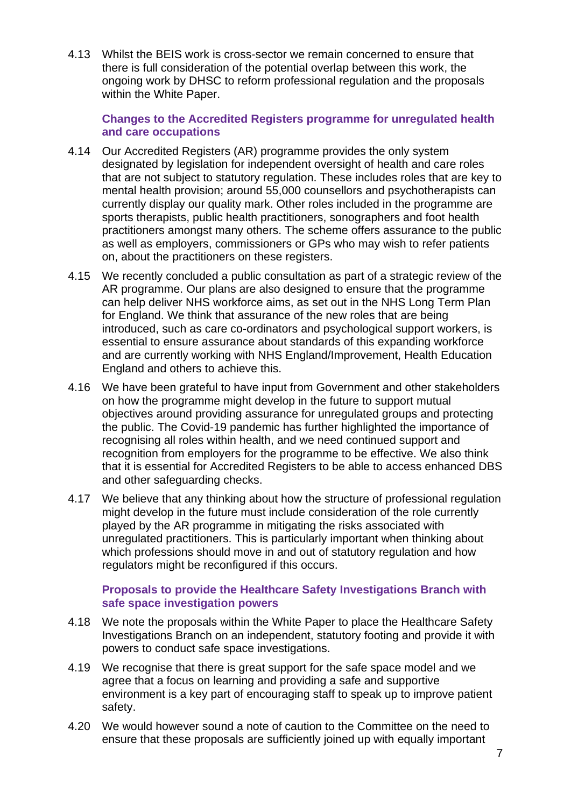4.13 Whilst the BEIS work is cross-sector we remain concerned to ensure that there is full consideration of the potential overlap between this work, the ongoing work by DHSC to reform professional regulation and the proposals within the White Paper.

**Changes to the Accredited Registers programme for unregulated health and care occupations** 

- 4.14 Our Accredited Registers (AR) programme provides the only system designated by legislation for independent oversight of health and care roles that are not subject to statutory regulation. These includes roles that are key to mental health provision; around 55,000 counsellors and psychotherapists can currently display our quality mark. Other roles included in the programme are sports therapists, public health practitioners, sonographers and foot health practitioners amongst many others. The scheme offers assurance to the public as well as employers, commissioners or GPs who may wish to refer patients on, about the practitioners on these registers.
- 4.15 We recently concluded a public consultation as part of a strategic review of the AR programme. Our plans are also designed to ensure that the programme can help deliver NHS workforce aims, as set out in the NHS Long Term Plan for England. We think that assurance of the new roles that are being introduced, such as care co-ordinators and psychological support workers, is essential to ensure assurance about standards of this expanding workforce and are currently working with NHS England/Improvement, Health Education England and others to achieve this.
- 4.16 We have been grateful to have input from Government and other stakeholders on how the programme might develop in the future to support mutual objectives around providing assurance for unregulated groups and protecting the public. The Covid-19 pandemic has further highlighted the importance of recognising all roles within health, and we need continued support and recognition from employers for the programme to be effective. We also think that it is essential for Accredited Registers to be able to access enhanced DBS and other safeguarding checks.
- 4.17 We believe that any thinking about how the structure of professional regulation might develop in the future must include consideration of the role currently played by the AR programme in mitigating the risks associated with unregulated practitioners. This is particularly important when thinking about which professions should move in and out of statutory regulation and how regulators might be reconfigured if this occurs.

### **Proposals to provide the Healthcare Safety Investigations Branch with safe space investigation powers**

- 4.18 We note the proposals within the White Paper to place the Healthcare Safety Investigations Branch on an independent, statutory footing and provide it with powers to conduct safe space investigations.
- 4.19 We recognise that there is great support for the safe space model and we agree that a focus on learning and providing a safe and supportive environment is a key part of encouraging staff to speak up to improve patient safety.
- 4.20 We would however sound a note of caution to the Committee on the need to ensure that these proposals are sufficiently joined up with equally important